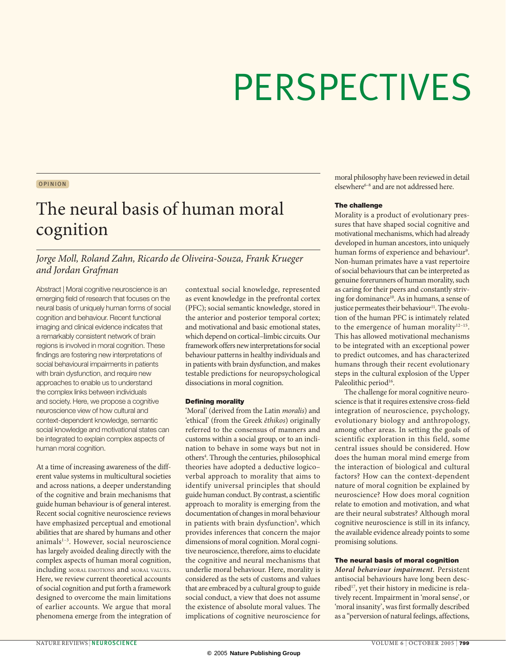# PERSPECTIVES

### OPINION

## The neural basis of human moral cognition

*Jorge Moll, Roland Zahn, Ricardo de Oliveira-Souza, Frank Krueger and Jordan Grafman*

Abstract | Moral cognitive neuroscience is an emerging field of research that focuses on the neural basis of uniquely human forms of social cognition and behaviour. Recent functional imaging and clinical evidence indicates that a remarkably consistent network of brain regions is involved in moral cognition. These findings are fostering new interpretations of social behavioural impairments in patients with brain dysfunction, and require new approaches to enable us to understand the complex links between individuals and society. Here, we propose a cognitive neuroscience view of how cultural and context-dependent knowledge, semantic social knowledge and motivational states can be integrated to explain complex aspects of human moral cognition.

At a time of increasing awareness of the different value systems in multicultural societies and across nations, a deeper understanding of the cognitive and brain mechanisms that guide human behaviour is of general interest. Recent social cognitive neuroscience reviews have emphasized perceptual and emotional abilities that are shared by humans and other animals<sup>1-3</sup>. However, social neuroscience has largely avoided dealing directly with the complex aspects of human moral cognition, including MORAL EMOTIONS and MORAL VALUES. Here, we review current theoretical accounts of social cognition and put forth a framework designed to overcome the main limitations of earlier accounts. We argue that moral phenomena emerge from the integration of contextual social knowledge, represented as event knowledge in the prefrontal cortex (PFC); social semantic knowledge, stored in the anterior and posterior temporal cortex; and motivational and basic emotional states, which depend on cortical–limbic circuits. Our framework offers new interpretations for social behaviour patterns in healthy individuals and in patients with brain dysfunction, and makes testable predictions for neuropsychological dissociations in moral cognition.

#### **Defining morality**

'Moral' (derived from the Latin *moralis*) and 'ethical' (from the Greek *êthikos*) originally referred to the consensus of manners and customs within a social group, or to an inclination to behave in some ways but not in others<sup>4</sup>. Through the centuries, philosophical theories have adopted a deductive logico– verbal approach to morality that aims to identify universal principles that should guide human conduct. By contrast, a scientific approach to morality is emerging from the documentation of changes in moral behaviour in patients with brain dysfunction<sup>5</sup>, which provides inferences that concern the major dimensions of moral cognition. Moral cognitive neuroscience, therefore, aims to elucidate the cognitive and neural mechanisms that underlie moral behaviour. Here, morality is considered as the sets of customs and values that are embraced by a cultural group to guide social conduct, a view that does not assume the existence of absolute moral values. The implications of cognitive neuroscience for

moral philosophy have been reviewed in detail elsewhere<sup>6-8</sup> and are not addressed here.

#### **The challenge**

Morality is a product of evolutionary pressures that have shaped social cognitive and motivational mechanisms, which had already developed in human ancestors, into uniquely human forms of experience and behaviour<sup>9</sup>. Non-human primates have a vast repertoire of social behaviours that can be interpreted as genuine forerunners of human morality, such as caring for their peers and constantly striving for dominance<sup>10</sup>. As in humans, a sense of justice permeates their behaviour<sup>11</sup>. The evolution of the human PFC is intimately related to the emergence of human morality $12-15$ . This has allowed motivational mechanisms to be integrated with an exceptional power to predict outcomes, and has characterized humans through their recent evolutionary steps in the cultural explosion of the Upper Paleolithic period<sup>16</sup>.

The challenge for moral cognitive neuroscience is that it requires extensive cross-field integration of neuroscience, psychology, evolutionary biology and anthropology, among other areas. In setting the goals of scientific exploration in this field, some central issues should be considered. How does the human moral mind emerge from the interaction of biological and cultural factors? How can the context-dependent nature of moral cognition be explained by neuroscience? How does moral cognition relate to emotion and motivation, and what are their neural substrates? Although moral cognitive neuroscience is still in its infancy, the available evidence already points to some promising solutions.

#### **The neural basis of moral cognition**

*Moral behaviour impairment.* Persistent antisocial behaviours have long been described<sup>17</sup>, yet their history in medicine is relatively recent. Impairment in 'moral sense', or 'moral insanity', was first formally described as a "perversion of natural feelings, affections,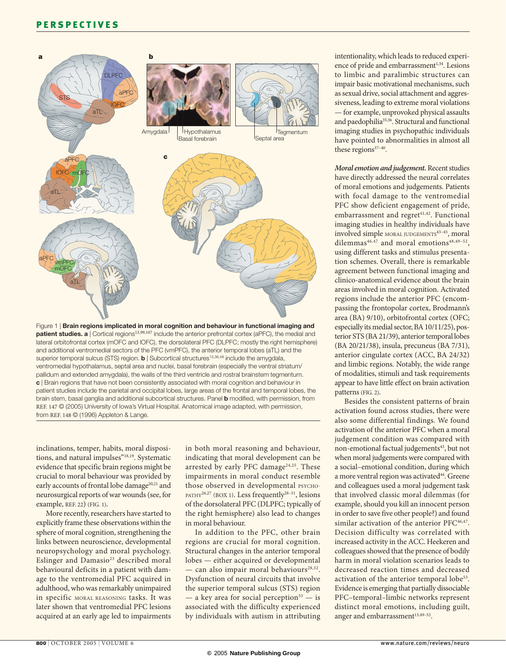

and additional ventromedial sectors of the PFC (vmPFC), the anterior temporal lobes (aTL) and the superior temporal sulcus (STS) region. **b** | Subcortical structures<sup>13,36,48</sup> include the amygdala, ventromedial hypothalamus, septal area and nuclei, basal forebrain (especially the ventral striatum/ pallidum and extended amygdala), the walls of the third ventricle and rostral brainstem tegmentum. **c** | Brain regions that have not been consistently associated with moral cognition and behaviour in patient studies include the parietal and occipital lobes, large areas of the frontal and temporal lobes, the brain stem, basal ganglia and additional subcortical structures. Panel **b** modified, with permission, from REF. 147 © (2005) University of Iowa's Virtual Hospital. Anatomical image adapted, with permission, from REF. 148 © (1996) Appleton & Lange.

inclinations, temper, habits, moral dispositions, and natural impulses"<sup>18,19</sup>. Systematic evidence that specific brain regions might be crucial to moral behaviour was provided by early accounts of frontal lobe damage<sup>20,21</sup> and neurosurgical reports of war wounds (see, for example, REF. 22) (FIG. 1).

More recently, researchers have started to explicitly frame these observations within the sphere of moral cognition, strengthening the links between neuroscience, developmental neuropsychology and moral psychology. Eslinger and Damasio<sup>23</sup> described moral behavioural deficits in a patient with damage to the ventromedial PFC acquired in adulthood, who was remarkably unimpaired in specific MORAL REASONING tasks. It was later shown that ventromedial PFC lesions acquired at an early age led to impairments

in both moral reasoning and behaviour, indicating that moral development can be arrested by early PFC damage<sup>24,25</sup>. These impairments in moral conduct resemble those observed in developmental PSYCHO-PATHY<sup>26,27</sup> (BOX 1). Less frequently<sup>28-31</sup>, lesions of the dorsolateral PFC (DLPFC; typically of the right hemisphere) also lead to changes in moral behaviour.

In addition to the PFC, other brain regions are crucial for moral cognition. Structural changes in the anterior temporal lobes — either acquired or developmental  $-$  can also impair moral behaviours<sup>28,32</sup>. Dysfunction of neural circuits that involve the superior temporal sulcus (STS) region — a key area for social perception<sup>33</sup> — is associated with the difficulty experienced by individuals with autism in attributing

intentionality, which leads to reduced experience of pride and embarrassment<sup>1,34</sup>. Lesions to limbic and paralimbic structures can impair basic motivational mechanisms, such as sexual drive, social attachment and aggressiveness, leading to extreme moral violations — for example, unprovoked physical assaults and paedophilia35,36. Structural and functional imaging studies in psychopathic individuals have pointed to abnormalities in almost all these regions<sup>37-40</sup>.

*Moral emotion and judgement.* Recent studies have directly addressed the neural correlates of moral emotions and judgements. Patients with focal damage to the ventromedial PFC show deficient engagement of pride, embarrassment and regret<sup>41,42</sup>. Functional imaging studies in healthy individuals have involved simple MORAL JUDGEMENTS<sup>43-45</sup>, moral dilemmas<sup>46,47</sup> and moral emotions<sup>48,49-52</sup>, using different tasks and stimulus presentation schemes. Overall, there is remarkable agreement between functional imaging and clinico-anatomical evidence about the brain areas involved in moral cognition. Activated regions include the anterior PFC (encompassing the frontopolar cortex, Brodmann's area (BA) 9/10), orbitofrontal cortex (OFC; especially its medial sector, BA 10/11/25), posterior STS (BA 21/39), anterior temporal lobes (BA 20/21/38), insula, precuneus (BA 7/31), anterior cingulate cortex (ACC, BA 24/32) and limbic regions. Notably, the wide range of modalities, stimuli and task requirements appear to have little effect on brain activation patterns (FIG. 2).

Besides the consistent patterns of brain activation found across studies, there were also some differential findings. We found activation of the anterior PFC when a moral judgement condition was compared with non-emotional factual judgements<sup>43</sup>, but not when moral judgements were compared with a social–emotional condition, during which a more ventral region was activated<sup>44</sup>. Greene and colleagues used a moral judgement task that involved classic moral dilemmas (for example, should you kill an innocent person in order to save five other people?) and found similar activation of the anterior PFC<sup>46,47</sup>. Decision difficulty was correlated with increased activity in the ACC. Heekeren and colleagues showed that the presence of bodily harm in moral violation scenarios leads to decreased reaction times and decreased activation of the anterior temporal lobe<sup>53</sup>. Evidence is emerging that partially dissociable PFC–temporal–limbic networks represent distinct moral emotions, including guilt, anger and embarrassment<sup>13,49-52</sup>.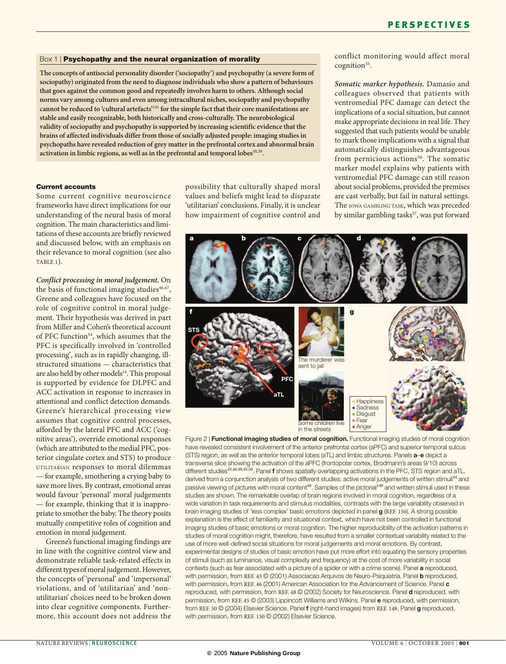#### Box 1 | **Psychopathy and the neural organization of morality**

**The concepts of antisocial personality disorder ('sociopathy') and psychopathy (a severe form of sociopathy) originated from the need to diagnose individuals who show a pattern of behaviours that goes against the common good and repeatedly involves harm to others. Although social norms vary among cultures and even among intracultural niches, sociopathy and psychopathy cannot be reduced to 'cultural artefacts'**<sup>141</sup> **for the simple fact that their core manifestations are stable and easily recognizable, both historically and cross-culturally. The neurobiological validity of sociopathy and psychopathy is supported by increasing scientific evidence that the brains of affected individuals differ from those of socially adjusted people: imaging studies in psychopaths have revealed reduction of grey matter in the prefrontal cortex and abnormal brain activation in limbic regions, as well as in the prefrontal and temporal lobes**38,39**.**

#### **Current accounts**

Some current cognitive neuroscience frameworks have direct implications for our understanding of the neural basis of moral cognition. The main characteristics and limitations of these accounts are briefly reviewed and discussed below, with an emphasis on their relevance to moral cognition (see also TABLE 1).

*Conflict processing in moral judgement.* On the basis of functional imaging studies<sup>46,47</sup>, Greene and colleagues have focused on the role of cognitive control in moral judgement. Their hypothesis was derived in part from Miller and Cohen's theoretical account of PFC function<sup>54</sup>, which assumes that the PFC is specifically involved in 'controlled processing', such as in rapidly changing, illstructured situations — characteristics that are also held by other models<sup>14</sup>. This proposal is supported by evidence for DLPFC and ACC activation in response to increases in attentional and conflict detection demands. Greene's hierarchical processing view assumes that cognitive control processes, afforded by the lateral PFC and ACC ('cognitive areas'), override emotional responses (which are attributed to the medial PFC, posterior cingulate cortex and STS) to produce UTILITARIAN responses to moral dilemmas — for example, smothering a crying baby to save more lives. By contrast, emotional areas would favour 'personal' moral judgements — for example, thinking that it is inappropriate to smother the baby. The theory posits mutually competitive roles of cognition and emotion in moral judgement.

Greene's functional imaging findings are in line with the cognitive control view and demonstrate reliable task-related effects in different types of moral judgement. However, the concepts of 'personal' and 'impersonal' violations, and of 'utilitarian' and 'nonutilitarian' choices need to be broken down into clear cognitive components. Furthermore, this account does not address the

possibility that culturally shaped moral values and beliefs might lead to disparate 'utilitarian' conclusions. Finally, it is unclear how impairment of cognitive control and conflict monitoring would affect moral cognition<sup>55</sup>.

*Somatic marker hypothesis.* Damasio and colleagues observed that patients with ventromedial PFC damage can detect the implications of a social situation, but cannot make appropriate decisions in real life. They suggested that such patients would be unable to mark those implications with a signal that automatically distinguishes advantageous from pernicious actions<sup>56</sup>. The somatic marker model explains why patients with ventromedial PFC damage can still reason about social problems, provided the premises are cast verbally, but fail in natural settings. The IOWA GAMBLING TASK, which was preceded by similar gambling tasks<sup>57</sup>, was put forward



Figure 2 | **Functional imaging studies of moral cognition.** Functional imaging studies of moral cognition have revealed consistent involvement of the anterior prefrontal cortex (aPFC) and superior temporal sulcus (STS) region, as well as the anterior temporal lobes (aTL) and limbic structures. Panels **a**–**e** depict a transverse slice showing the activation of the aPFC (frontopolar cortex, Brodmann's areas 9/10) across different studies43,46,48,45,50. Panel **f** shows spatially overlapping activations in the PFC, STS region and aTL, derived from a conjunction analysis of two different studies: active moral judgements of written stimuli<sup>44</sup> and passive viewing of pictures with moral content<sup>48</sup>. Samples of the pictorial<sup>149</sup> and written stimuli used in these studies are shown. The remarkable overlap of brain regions involved in moral cognition, regardless of a wide variation in task requirements and stimulus modalities, contrasts with the large variability observed in brain imaging studies of 'less complex' basic emotions depicted in panel **g** (REF. 150). A strong possible explanation is the effect of familiarity and situational context, which have not been controlled in functional imaging studies of basic emotions or moral cognition. The higher reproducibility of the activation patterns in studies of moral cognition might, therefore, have resulted from a smaller contextual variability related to the use of more well-defined social situations for moral judgements and moral emotions. By contrast, experimental designs of studies of basic emotion have put more effort into equating the sensory properties of stimuli (such as luminance, visual complexity and frequency) at the cost of more variability in social contexts (such as fear associated with a picture of a spider or with a crime scene). Panel **a** reproduced, with permission, from REF. 43 © (2001) Associacao Arquivos de Neuro-Psiquiatria. Panel **b** reproduced, with permission, from REF. 46 (2001) American Association for the Advancement of Science. Panel **c** reproduced, with permission, from REF. 48 © (2002) Society for Neuroscience. Panel **d** reproduced, with permission, from REF. 45 © (2003) Lippincott Williams and Wilkins. Panel **e** reproduced, with permission, from REF. 50 © (2004) Elsevier Science. Panel **f** (right-hand images) from REF. 149. Panel **g** reproduced, with permission, from REF. 150 © (2002) Elsevier Science.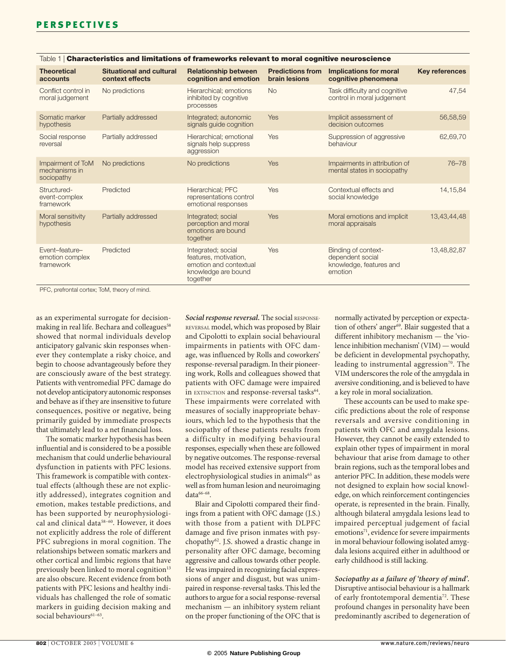| <b>Theoretical</b><br>accounts                   | <b>Situational and cultural</b><br>context effects | <b>Relationship between</b><br>cognition and emotion                                                     | <b>Predictions from</b><br><b>brain lesions</b> | <b>Implications for moral</b><br>cognitive phenomena                          | <b>Key references</b> |
|--------------------------------------------------|----------------------------------------------------|----------------------------------------------------------------------------------------------------------|-------------------------------------------------|-------------------------------------------------------------------------------|-----------------------|
| Conflict control in<br>moral judgement           | No predictions                                     | Hierarchical; emotions<br>inhibited by cognitive<br>processes                                            | <b>No</b>                                       | Task difficulty and cognitive<br>control in moral judgement                   | 47,54                 |
| Somatic marker<br>hypothesis                     | Partially addressed                                | Integrated; autonomic<br>signals guide cognition                                                         | Yes                                             | Implicit assessment of<br>decision outcomes                                   | 56,58,59              |
| Social response<br>reversal                      | Partially addressed                                | Hierarchical; emotional<br>signals help suppress<br>aggression                                           | Yes                                             | Suppression of aggressive<br>behaviour                                        | 62,69,70              |
| Impairment of ToM<br>mechanisms in<br>sociopathy | No predictions                                     | No predictions                                                                                           | Yes                                             | Impairments in attribution of<br>mental states in sociopathy                  | $76 - 78$             |
| Structured-<br>event-complex<br>framework        | Predicted                                          | Hierarchical; PFC<br>representations control<br>emotional responses                                      | Yes                                             | Contextual effects and<br>social knowledge                                    | 14, 15, 84            |
| Moral sensitivity<br>hypothesis                  | Partially addressed                                | Integrated; social<br>perception and moral<br>emotions are bound<br>together                             | Yes                                             | Moral emotions and implicit<br>moral appraisals                               | 13,43,44,48           |
| Event-feature-<br>emotion complex<br>framework   | Predicted                                          | Integrated; social<br>features, motivation,<br>emotion and contextual<br>knowledge are bound<br>together | Yes                                             | Binding of context-<br>dependent social<br>knowledge, features and<br>emotion | 13,48,82,87           |

PFC, prefrontal cortex; ToM, theory of mind.

as an experimental surrogate for decisionmaking in real life. Bechara and colleagues<sup>58</sup> showed that normal individuals develop anticipatory galvanic skin responses whenever they contemplate a risky choice, and begin to choose advantageously before they are consciously aware of the best strategy. Patients with ventromedial PFC damage do not develop anticipatory autonomic responses and behave as if they are insensitive to future consequences, positive or negative, being primarily guided by immediate prospects that ultimately lead to a net financial loss.

The somatic marker hypothesis has been influential and is considered to be a possible mechanism that could underlie behavioural dysfunction in patients with PFC lesions. This framework is compatible with contextual effects (although these are not explicitly addressed), integrates cognition and emotion, makes testable predictions, and has been supported by neurophysiological and clinical data<sup>58-60</sup>. However, it does not explicitly address the role of different PFC subregions in moral cognition. The relationships between somatic markers and other cortical and limbic regions that have previously been linked to moral cognition<sup>13</sup> are also obscure. Recent evidence from both patients with PFC lesions and healthy individuals has challenged the role of somatic markers in guiding decision making and social behaviours $61-63$ .

Social response reversal. The social RESPONSE-REVERSAL model, which was proposed by Blair and Cipolotti to explain social behavioural impairments in patients with OFC damage, was influenced by Rolls and coworkers' response-reversal paradigm. In their pioneering work, Rolls and colleagues showed that patients with OFC damage were impaired in EXTINCTION and response-reversal tasks<sup>64</sup>. These impairments were correlated with measures of socially inappropriate behaviours, which led to the hypothesis that the sociopathy of these patients results from a difficulty in modifying behavioural responses, especially when these are followed by negative outcomes. The response-reversal model has received extensive support from electrophysiological studies in animals<sup>65</sup> as well as from human lesion and neuroimaging  $data^{66-68}$ 

Blair and Cipolotti compared their findings from a patient with OFC damage (J.S.) with those from a patient with DLPFC damage and five prison inmates with psychopathy62. J.S. showed a drastic change in personality after OFC damage, becoming aggressive and callous towards other people. He was impaired in recognizing facial expressions of anger and disgust, but was unimpaired in response-reversal tasks. This led the authors to argue for a social response-reversal mechanism — an inhibitory system reliant on the proper functioning of the OFC that is

normally activated by perception or expectation of others' anger<sup>69</sup>. Blair suggested that a different inhibitory mechanism — the 'violence inhibition mechanism' (VIM) — would be deficient in developmental psychopathy, leading to instrumental aggression<sup>70</sup>. The VIM underscores the role of the amygdala in aversive conditioning, and is believed to have a key role in moral socialization.

These accounts can be used to make specific predictions about the role of response reversals and aversive conditioning in patients with OFC and amygdala lesions. However, they cannot be easily extended to explain other types of impairment in moral behaviour that arise from damage to other brain regions, such as the temporal lobes and anterior PFC. In addition, these models were not designed to explain how social knowledge, on which reinforcement contingencies operate, is represented in the brain. Finally, although bilateral amygdala lesions lead to impaired perceptual judgement of facial emotions<sup>71</sup>, evidence for severe impairments in moral behaviour following isolated amygdala lesions acquired either in adulthood or early childhood is still lacking.

## *Sociopathy as a failure of 'theory of mind'.*

Disruptive antisocial behaviour is a hallmark of early frontotemporal dementia72. These profound changes in personality have been predominantly ascribed to degeneration of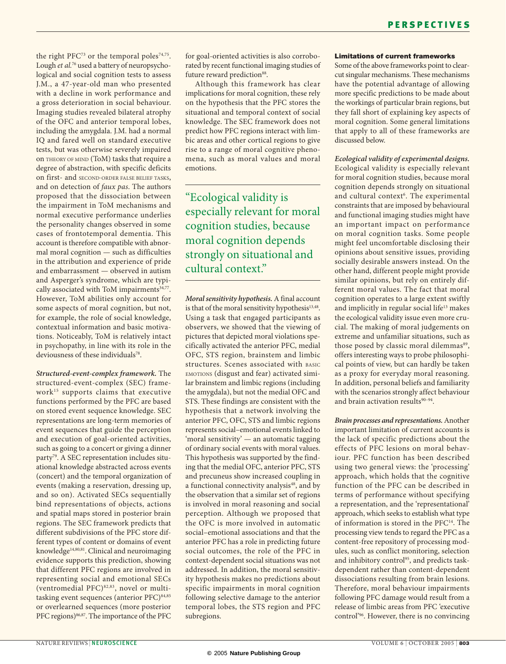the right PFC $^{73}$  or the temporal poles $^{74,75}$ . Lough *et al.*76 used a battery of neuropsychological and social cognition tests to assess J.M., a 47-year-old man who presented with a decline in work performance and a gross deterioration in social behaviour. Imaging studies revealed bilateral atrophy of the OFC and anterior temporal lobes, including the amygdala. J.M. had a normal IQ and fared well on standard executive tests, but was otherwise severely impaired on THEORY OF MIND (ToM) tasks that require a degree of abstraction, with specific deficits on first- and second-order false belief tasks, and on detection of *faux pas*. The authors proposed that the dissociation between the impairment in ToM mechanisms and normal executive performance underlies the personality changes observed in some cases of frontotemporal dementia. This account is therefore compatible with abnormal moral cognition — such as difficulties in the attribution and experience of pride and embarrassment — observed in autism and Asperger's syndrome, which are typically associated with ToM impairments<sup>34,77</sup>. However, ToM abilities only account for some aspects of moral cognition, but not, for example, the role of social knowledge, contextual information and basic motivations. Noticeably, ToM is relatively intact in psychopathy, in line with its role in the deviousness of these individuals<sup>78</sup>.

*Structured-event-complex framework.* The structured-event-complex (SEC) framework15 supports claims that executive functions performed by the PFC are based on stored event sequence knowledge. SEC representations are long-term memories of event sequences that guide the perception and execution of goal-oriented activities, such as going to a concert or giving a dinner party79. A SEC representation includes situational knowledge abstracted across events (concert) and the temporal organization of events (making a reservation, dressing up, and so on). Activated SECs sequentially bind representations of objects, actions and spatial maps stored in posterior brain regions. The SEC framework predicts that different subdivisions of the PFC store different types of content or domains of event knowledge14,80,81. Clinical and neuroimaging evidence supports this prediction, showing that different PFC regions are involved in representing social and emotional SECs (ventromedial PFC) $82,83$ , novel or multitasking event sequences (anterior PFC)<sup>84,85</sup> or overlearned sequences (more posterior PFC regions)<sup>86,87</sup>. The importance of the PFC

for goal-oriented activities is also corroborated by recent functional imaging studies of future reward prediction<sup>88</sup>.

Although this framework has clear implications for moral cognition, these rely on the hypothesis that the PFC stores the situational and temporal context of social knowledge. The SEC framework does not predict how PFC regions interact with limbic areas and other cortical regions to give rise to a range of moral cognitive phenomena, such as moral values and moral emotions.

"Ecological validity is especially relevant for moral cognition studies, because moral cognition depends strongly on situational and cultural context."

*Moral sensitivity hypothesis.* A final account is that of the moral sensitivity hypothesis<sup>13,48</sup>. Using a task that engaged participants as observers, we showed that the viewing of pictures that depicted moral violations specifically activated the anterior PFC, medial OFC, STS region, brainstem and limbic structures. Scenes associated with BASIC EMOTIONS (disgust and fear) activated similar brainstem and limbic regions (including the amygdala), but not the medial OFC and STS. These findings are consistent with the hypothesis that a network involving the anterior PFC, OFC, STS and limbic regions represents social–emotional events linked to 'moral sensitivity' — an automatic tagging of ordinary social events with moral values. This hypothesis was supported by the finding that the medial OFC, anterior PFC, STS and precuneus show increased coupling in a functional connectivity analysis<sup>48</sup>, and by the observation that a similar set of regions is involved in moral reasoning and social perception. Although we proposed that the OFC is more involved in automatic social–emotional associations and that the anterior PFC has a role in predicting future social outcomes, the role of the PFC in context-dependent social situations was not addressed. In addition, the moral sensitivity hypothesis makes no predictions about specific impairments in moral cognition following selective damage to the anterior temporal lobes, the STS region and PFC subregions.

#### **Limitations of current frameworks**

Some of the above frameworks point to clearcut singular mechanisms. These mechanisms have the potential advantage of allowing more specific predictions to be made about the workings of particular brain regions, but they fall short of explaining key aspects of moral cognition. Some general limitations that apply to all of these frameworks are discussed below.

*Ecological validity of experimental designs.* Ecological validity is especially relevant for moral cognition studies, because moral cognition depends strongly on situational and cultural context<sup>6</sup>. The experimental constraints that are imposed by behavioural and functional imaging studies might have an important impact on performance on moral cognition tasks. Some people might feel uncomfortable disclosing their opinions about sensitive issues, providing socially desirable answers instead. On the other hand, different people might provide similar opinions, but rely on entirely different moral values. The fact that moral cognition operates to a large extent swiftly and implicitly in regular social life<sup>13</sup> makes the ecological validity issue even more crucial. The making of moral judgements on extreme and unfamiliar situations, such as those posed by classic moral dilemmas<sup>89</sup>, offers interesting ways to probe philosophical points of view, but can hardly be taken as a proxy for everyday moral reasoning. In addition, personal beliefs and familiarity with the scenarios strongly affect behaviour and brain activation results<sup>90-94</sup>.

*Brain processes and representations.* Another important limitation of current accounts is the lack of specific predictions about the effects of PFC lesions on moral behaviour. PFC function has been described using two general views: the 'processing' approach, which holds that the cognitive function of the PFC can be described in terms of performance without specifying a representation, and the 'representational' approach, which seeks to establish what type of information is stored in the PFC<sup>14</sup>. The processing view tends to regard the PFC as a content-free repository of processing modules, such as conflict monitoring, selection and inhibitory control<sup>95</sup>, and predicts taskdependent rather than content-dependent dissociations resulting from brain lesions. Therefore, moral behaviour impairments following PFC damage would result from a release of limbic areas from PFC 'executive control'96. However, there is no convincing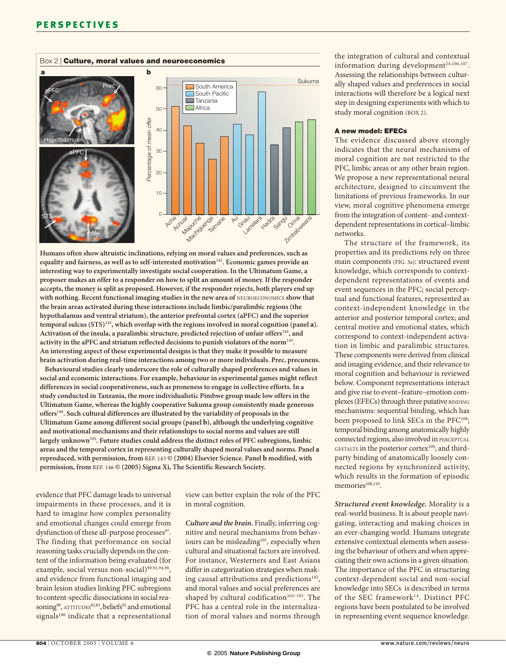

**Humans often show altruistic inclinations, relying on moral values and preferences, such as equality and fairness, as well as to self-interested motivation**<sup>142</sup>**. Economic games provide an interesting way to experimentally investigate social cooperation. In the Ultimatum Game, a proposer makes an offer to a responder on how to split an amount of money. If the responder accepts, the money is split as proposed. However, if the responder rejects, both players end up with nothing. Recent functional imaging studies in the new area of** NEUROECONOMICS **show that the brain areas activated during these interactions include limbic/paralimbic regions (the hypothalamus and ventral striatum), the anterior prefrontal cortex (aPFC) and the superior temporal sulcus (STS)**<sup>143</sup>**, which overlap with the regions involved in moral cognition (panel a). Activation of the insula, a paralimbic structure, predicted rejection of unfair offers**<sup>144</sup>**, and activity in the aPFC and striatum reflected decisions to punish violators of the norm**<sup>145</sup>**. An interesting aspect of these experimental designs is that they make it possible to measure brain activation during real-time interactions among two or more individuals. Prec, precuneus.**

**Behavioural studies clearly underscore the role of culturally shaped preferences and values in social and economic interactions. For example, behaviour in experimental games might reflect differences in social cooperativeness, such as proneness to engage in collective efforts. In a study conducted in Tanzania, the more individualistic Pimbwe group made low offers in the Ultimatum Game, whereas the highly cooperative Sukuma group consistently made generous offers**<sup>146</sup>**. Such cultural differences are illustrated by the variability of proposals in the Ultimatum Game among different social groups (panel b), although the underlying cognitive and motivational mechanisms and their relationships to social norms and values are still largely unknown**<sup>105</sup>**. Future studies could address the distinct roles of PFC subregions, limbic areas and the temporal cortex in representing culturally shaped moral values and norms. Panel a reproduced, with permission, from** REF. 143 **© (2004) Elsevier Science. Panel b modified, with permission, from** REF. 146 **© (2005) Sigma Xi, The Scientific Research Society.** 

evidence that PFC damage leads to universal impairments in these processes, and it is hard to imagine how complex personality and emotional changes could emerge from dysfunction of these all-purpose processes<sup>97</sup>. The finding that performance on social reasoning tasks crucially depends on the content of the information being evaluated (for example, social versus non-social)<sup>90,91,94,98</sup>, and evidence from functional imaging and brain lesion studies linking PFC subregions to content-specific dissociations in social reasoning<sup>99</sup>, ATTITUDES<sup>82,83</sup>, beliefs<sup>92</sup> and emotional signals<sup>100</sup> indicate that a representational

view can better explain the role of the PFC in moral cognition.

*Culture and the brain.* Finally, inferring cognitive and neural mechanisms from behaviours can be misleading<sup>101</sup>, especially when cultural and situational factors are involved. For instance, Westerners and East Asians differ in categorization strategies when making causal attributions and predictions<sup>102</sup>, and moral values and social preferences are shaped by cultural codification $103-105$ . The PFC has a central role in the internalization of moral values and norms through

the integration of cultural and contextual information during development<sup>24,106,107</sup>. Assessing the relationships between culturally shaped values and preferences in social interactions will therefore be a logical next step in designing experiments with which to study moral cognition (BOX 2).

#### **A new model: EFECs**

The evidence discussed above strongly indicates that the neural mechanisms of moral cognition are not restricted to the PFC, limbic areas or any other brain region. We propose a new representational neural architecture, designed to circumvent the limitations of previous frameworks. In our view, moral cognitive phenomena emerge from the integration of content- and contextdependent representations in cortical–limbic networks.

The structure of the framework, its properties and its predictions rely on three main components (FIG. 3a): structured event knowledge, which corresponds to contextdependent representations of events and event sequences in the PFC; social perceptual and functional features, represented as context-independent knowledge in the anterior and posterior temporal cortex; and central motive and emotional states, which correspond to context-independent activation in limbic and paralimbic structures. These components were derived from clinical and imaging evidence, and their relevance to moral cognition and behaviour is reviewed below. Component representations interact and give rise to event–feature–emotion complexes (EFECs) through three putative BINDING mechanisms: sequential binding, which has been proposed to link SECs in the PFC<sup>108</sup>; temporal binding among anatomically highly connected regions, also involved in PERCEPTUAL GESTALTS in the posterior cortex109; and thirdparty binding of anatomically loosely connected regions by synchronized activity, which results in the formation of episodic memories<sup>108,110</sup>.

*Structured event knowledge.* Morality is a real-world business. It is about people navigating, interacting and making choices in an ever-changing world. Humans integrate extensive contextual elements when assessing the behaviour of others and when appreciating their own actions in a given situation. The importance of the PFC in structuring context-dependent social and non-social knowledge into SECs is described in terms of the SEC framework<sup>14</sup>. Distinct PFC regions have been postulated to be involved in representing event sequence knowledge.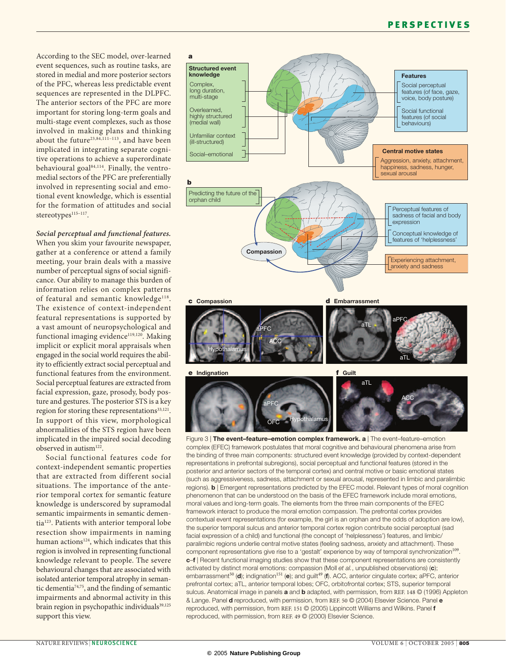## PERSPECTIVES

According to the SEC model, over-learned event sequences, such as routine tasks, are stored in medial and more posterior sectors of the PFC, whereas less predictable event sequences are represented in the DLPFC. The anterior sectors of the PFC are more important for storing long-term goals and multi-stage event complexes, such as those involved in making plans and thinking about the future<sup>23,84,111-113</sup>, and have been implicated in integrating separate cognitive operations to achieve a superordinate behavioural goal<sup>84,114</sup>. Finally, the ventromedial sectors of the PFC are preferentially involved in representing social and emotional event knowledge, which is essential for the formation of attitudes and social stereotypes<sup>115–117</sup>.

*Social perceptual and functional features.* When you skim your favourite newspaper, gather at a conference or attend a family meeting, your brain deals with a massive number of perceptual signs of social significance. Our ability to manage this burden of information relies on complex patterns of featural and semantic knowledge<sup>118</sup>. The existence of context-independent featural representations is supported by a vast amount of neuropsychological and functional imaging evidence<sup>119,120</sup>. Making implicit or explicit moral appraisals when engaged in the social world requires the ability to efficiently extract social perceptual and functional features from the environment. Social perceptual features are extracted from facial expression, gaze, prosody, body posture and gestures. The posterior STS is a key region for storing these representations<sup>33,121</sup>. In support of this view, morphological abnormalities of the STS region have been implicated in the impaired social decoding observed in autism122.

Social functional features code for context-independent semantic properties that are extracted from different social situations. The importance of the anterior temporal cortex for semantic feature knowledge is underscored by supramodal semantic impairments in semantic dementia<sup>123</sup>. Patients with anterior temporal lobe resection show impairments in naming human actions<sup>124</sup>, which indicates that this region is involved in representing functional knowledge relevant to people. The severe behavioural changes that are associated with isolated anterior temporal atrophy in semantic dementia74,75, and the finding of semantic impairments and abnormal activity in this brain region in psychopathic individuals<sup>39,125</sup> support this view.



Figure 3 | The event-feature-emotion complex framework. a | The event-feature-emotion complex (EFEC) framework postulates that moral cognitive and behavioural phenomena arise from the binding of three main components: structured event knowledge (provided by context-dependent representations in prefrontal subregions), social perceptual and functional features (stored in the posterior and anterior sectors of the temporal cortex) and central motive or basic emotional states (such as aggressiveness, sadness, attachment or sexual arousal, represented in limbic and paralimbic regions). **b** | Emergent representations predicted by the EFEC model. Relevant types of moral cognition phenomenon that can be understood on the basis of the EFEC framework include moral emotions, moral values and long-term goals. The elements from the three main components of the EFEC framework interact to produce the moral emotion compassion. The prefrontal cortex provides contextual event representations (for example, the girl is an orphan and the odds of adoption are low), the superior temporal sulcus and anterior temporal cortex region contribute social perceptual (sad facial expression of a child) and functional (the concept of 'helplessness') features, and limbic/ paralimbic regions underlie central motive states (feeling sadness, anxiety and attachment). These component representations give rise to a 'gestalt' experience by way of temporal synchronization<sup>109</sup>. **c**–**f** | Recent functional imaging studies show that these component representations are consistently activated by distinct moral emotions: compassion (Moll *et al.*, unpublished observations) (**c**); embarrassment<sup>50</sup> (d); indignation<sup>151</sup> (e); and guilt<sup>49</sup> (f). ACC, anterior cingulate cortex; aPFC, anterior prefrontal cortex; aTL, anterior temporal lobes; OFC, orbitofrontal cortex; STS, superior temporal sulcus. Anatomical image in panels **a** and **b** adapted, with permission, from REF. 148 © (1996) Appleton & Lange. Panel **d** reproduced, with permission, from REF. 50 © (2004) Elsevier Science. Panel **e** reproduced, with permission, from REF. 151 © (2005) Lippincott Williams and Wilkins. Panel **f** reproduced, with permission, from REF. 49 © (2000) Elsevier Science.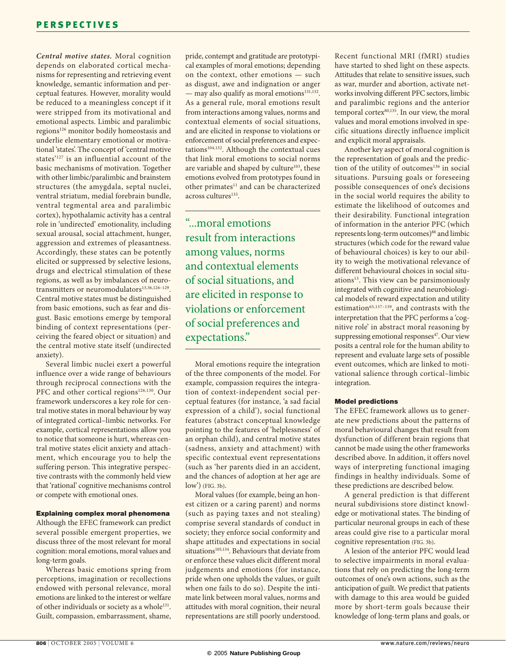*Central motive states.* Moral cognition depends on elaborated cortical mechanisms for representing and retrieving event knowledge, semantic information and perceptual features. However, morality would be reduced to a meaningless concept if it were stripped from its motivational and emotional aspects. Limbic and paralimbic regions126 monitor bodily homeostasis and underlie elementary emotional or motivational 'states'. The concept of 'central motive states'127 is an influential account of the basic mechanisms of motivation. Together with other limbic/paralimbic and brainstem structures (the amygdala, septal nuclei, ventral striatum, medial forebrain bundle, ventral tegmental area and paralimbic cortex), hypothalamic activity has a central role in 'undirected' emotionality, including sexual arousal, social attachment, hunger, aggression and extremes of pleasantness. Accordingly, these states can be potently elicited or suppressed by selective lesions, drugs and electrical stimulation of these regions, as well as by imbalances of neurotransmitters or neuromodulators<sup>13,36,126-129</sup>. Central motive states must be distinguished from basic emotions, such as fear and disgust. Basic emotions emerge by temporal binding of context representations (perceiving the feared object or situation) and the central motive state itself (undirected anxiety).

Several limbic nuclei exert a powerful influence over a wide range of behaviours through reciprocal connections with the PFC and other cortical regions<sup>126,130</sup>. Our framework underscores a key role for central motive states in moral behaviour by way of integrated cortical–limbic networks. For example, cortical representations allow you to notice that someone is hurt, whereas central motive states elicit anxiety and attachment, which encourage you to help the suffering person. This integrative perspective contrasts with the commonly held view that 'rational' cognitive mechanisms control or compete with emotional ones.

#### **Explaining complex moral phenomena**

Although the EFEC framework can predict several possible emergent properties, we discuss three of the most relevant for moral cognition: moral emotions, moral values and long-term goals.

Whereas basic emotions spring from perceptions, imagination or recollections endowed with personal relevance, moral emotions are linked to the interest or welfare of other individuals or society as a whole<sup>131</sup>. Guilt, compassion, embarrassment, shame,

pride, contempt and gratitude are prototypical examples of moral emotions; depending on the context, other emotions — such as disgust, awe and indignation or anger — may also qualify as moral emotions<sup>131,132</sup>. As a general rule, moral emotions result from interactions among values, norms and contextual elements of social situations, and are elicited in response to violations or enforcement of social preferences and expectations<sup>104,132</sup>. Although the contextual cues that link moral emotions to social norms are variable and shaped by culture<sup>103</sup>, these emotions evolved from prototypes found in other primates<sup>11</sup> and can be characterized across cultures<sup>133</sup>.

"...moral emotions result from interactions among values, norms and contextual elements of social situations, and are elicited in response to violations or enforcement of social preferences and expectations."

Moral emotions require the integration of the three components of the model. For example, compassion requires the integration of context-independent social perceptual features (for instance, 'a sad facial expression of a child'), social functional features (abstract conceptual knowledge pointing to the features of 'helplessness' of an orphan child), and central motive states (sadness, anxiety and attachment) with specific contextual event representations (such as 'her parents died in an accident, and the chances of adoption at her age are low') (FIG. 3b).

Moral values (for example, being an honest citizen or a caring parent) and norms (such as paying taxes and not stealing) comprise several standards of conduct in society; they enforce social conformity and shape attitudes and expectations in social  $\frac{1}{1}$ situations<sup>105,134</sup>. Behaviours that deviate from or enforce these values elicit different moral judgements and emotions (for instance, pride when one upholds the values, or guilt when one fails to do so). Despite the intimate link between moral values, norms and attitudes with moral cognition, their neural representations are still poorly understood.

Recent functional MRI (fMRI) studies have started to shed light on these aspects. Attitudes that relate to sensitive issues, such as war, murder and abortion, activate networks involving different PFC sectors, limbic and paralimbic regions and the anterior temporal cortex $80,135$ . In our view, the moral values and moral emotions involved in specific situations directly influence implicit and explicit moral appraisals.

Another key aspect of moral cognition is the representation of goals and the prediction of the utility of outcomes<sup>136</sup> in social situations. Pursuing goals or foreseeing possible consequences of one's decisions in the social world requires the ability to estimate the likelihood of outcomes and their desirability. Functional integration of information in the anterior PFC (which represents long-term outcomes)<sup>88</sup> and limbic structures (which code for the reward value of behavioural choices) is key to our ability to weigh the motivational relevance of different behavioural choices in social situations<sup>13</sup>. This view can be parsimoniously integrated with cognitive and neurobiological models of reward expectation and utility estimation $^{65,137-139}$ , and contrasts with the interpretation that the PFC performs a 'cognitive role' in abstract moral reasoning by suppressing emotional responses<sup>47</sup>. Our view posits a central role for the human ability to represent and evaluate large sets of possible event outcomes, which are linked to motivational salience through cortical–limbic integration.

#### **Model predictions**

The EFEC framework allows us to generate new predictions about the patterns of moral behavioural changes that result from dysfunction of different brain regions that cannot be made using the other frameworks described above. In addition, it offers novel ways of interpreting functional imaging findings in healthy individuals. Some of these predictions are described below.

A general prediction is that different neural subdivisions store distinct knowledge or motivational states. The binding of particular neuronal groups in each of these areas could give rise to a particular moral cognitive representation (FIG. 3b).

A lesion of the anterior PFC would lead to selective impairments in moral evaluations that rely on predicting the long-term outcomes of one's own actions, such as the anticipation of guilt. We predict that patients with damage to this area would be guided more by short-term goals because their knowledge of long-term plans and goals, or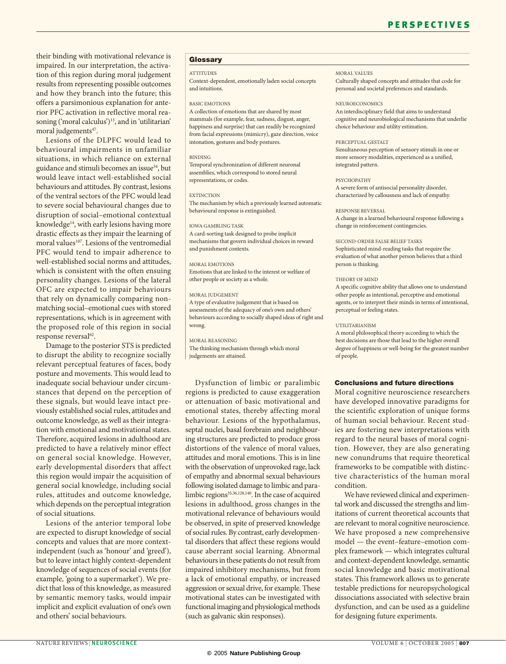## **PERSPECTIVES**

their binding with motivational relevance is impaired. In our interpretation, the activation of this region during moral judgement results from representing possible outcomes and how they branch into the future; this offers a parsimonious explanation for anterior PFC activation in reflective moral reasoning ('moral calculus')13, and in 'utilitarian' moral judgements<sup>47</sup>.

Lesions of the DLPFC would lead to behavioural impairments in unfamiliar situations, in which reliance on external guidance and stimuli becomes an issue54, but would leave intact well-established social behaviours and attitudes. By contrast, lesions of the ventral sectors of the PFC would lead to severe social behavioural changes due to disruption of social–emotional contextual knowledge $14$ , with early lesions having more drastic effects as they impair the learning of moral values<sup>107</sup>. Lesions of the ventromedial PFC would tend to impair adherence to well-established social norms and attitudes, which is consistent with the often ensuing personality changes. Lesions of the lateral OFC are expected to impair behaviours that rely on dynamically comparing nonmatching social–emotional cues with stored representations, which is in agreement with the proposed role of this region in social response reversal<sup>62</sup>.

Damage to the posterior STS is predicted to disrupt the ability to recognize socially relevant perceptual features of faces, body posture and movements. This would lead to inadequate social behaviour under circumstances that depend on the perception of these signals, but would leave intact previously established social rules, attitudes and outcome knowledge, as well as their integration with emotional and motivational states. Therefore, acquired lesions in adulthood are predicted to have a relatively minor effect on general social knowledge. However, early developmental disorders that affect this region would impair the acquisition of general social knowledge, including social rules, attitudes and outcome knowledge, which depends on the perceptual integration of social situations.

Lesions of the anterior temporal lobe are expected to disrupt knowledge of social concepts and values that are more contextindependent (such as 'honour' and 'greed'), but to leave intact highly context-dependent knowledge of sequences of social events (for example, 'going to a supermarket'). We predict that loss of this knowledge, as measured by semantic memory tasks, would impair implicit and explicit evaluation of one's own and others' social behaviours.

## **Glossary**

#### **ATTITUDES**

Context-dependent, emotionally laden social concepts and intuitions.

#### BASIC EMOTIONS

A collection of emotions that are shared by most mammals (for example, fear, sadness, disgust, anger, happiness and surprise) that can readily be recognized from facial expressions (mimicry), gaze direction, voice intonation, gestures and body postures.

#### BINDING

Temporal synchronization of different neuronal assemblies, which correspond to stored neural representations, or codes.

#### **EXTINCTION**

The mechanism by which a previously learned automatic behavioural response is extinguished.

#### IOWA GAMBLING TASK

A card-sorting task designed to probe implicit mechanisms that govern individual choices in reward and punishment contexts.

#### MORAL EMOTIONS

Emotions that are linked to the interest or welfare of other people or society as a whole.

#### MORAL JUDGEMENT

A type of evaluative judgement that is based on assessments of the adequacy of one's own and others' behaviours according to socially shaped ideas of right and wrong.

MORAL REASONING The thinking mechanism through which moral judgements are attained.

Dysfunction of limbic or paralimbic regions is predicted to cause exaggeration or attenuation of basic motivational and emotional states, thereby affecting moral behaviour. Lesions of the hypothalamus, septal nuclei, basal forebrain and neighbouring structures are predicted to produce gross distortions of the valence of moral values, attitudes and moral emotions. This is in line with the observation of unprovoked rage, lack of empathy and abnormal sexual behaviours following isolated damage to limbic and paralimbic regions<sup>35,36,128,140</sup>. In the case of acquired lesions in adulthood, gross changes in the motivational relevance of behaviours would be observed, in spite of preserved knowledge of social rules. By contrast, early developmental disorders that affect these regions would cause aberrant social learning. Abnormal behaviours in these patients do not result from impaired inhibitory mechanisms, but from a lack of emotional empathy, or increased aggression or sexual drive, for example. These motivational states can be investigated with functional imaging and physiological methods (such as galvanic skin responses).

#### MORAL VALUES

Culturally shaped concepts and attitudes that code for personal and societal preferences and standards.

#### NEUROECONOMICS

An interdisciplinary field that aims to understand cognitive and neurobiological mechanisms that underlie choice behaviour and utility estimation.

#### PERCEPTUAL GESTALT

Simultaneous perception of sensory stimuli in one or more sensory modalities, experienced as a unified, integrated pattern.

#### PSYCHOPATHY

A severe form of antisocial personality disorder, characterized by callousness and lack of empathy.

#### RESPONSE REVERSAL

A change in a learned behavioural response following a change in reinforcement contingencies.

#### SECOND-ORDER FALSE BELIEF TASKS

Sophisticated mind-reading tasks that require the evaluation of what another person believes that a third person is thinking.

#### THEORY OF MIND

A specific cognitive ability that allows one to understand other people as intentional, perceptive and emotional agents, or to interpret their minds in terms of intentional, perceptual or feeling states.

#### UTILITARIANISM

A moral philosophical theory according to which the best decisions are those that lead to the higher overall degree of happiness or well-being for the greatest number of people.

#### **Conclusions and future directions**

Moral cognitive neuroscience researchers have developed innovative paradigms for the scientific exploration of unique forms of human social behaviour. Recent studies are fostering new interpretations with regard to the neural bases of moral cognition. However, they are also generating new conundrums that require theoretical frameworks to be compatible with distinctive characteristics of the human moral condition.

We have reviewed clinical and experimental work and discussed the strengths and limitations of current theoretical accounts that are relevant to moral cognitive neuroscience. We have proposed a new comprehensive model — the event–feature–emotion complex framework — which integrates cultural and context-dependent knowledge, semantic social knowledge and basic motivational states. This framework allows us to generate testable predictions for neuropsychological dissociations associated with selective brain dysfunction, and can be used as a guideline for designing future experiments.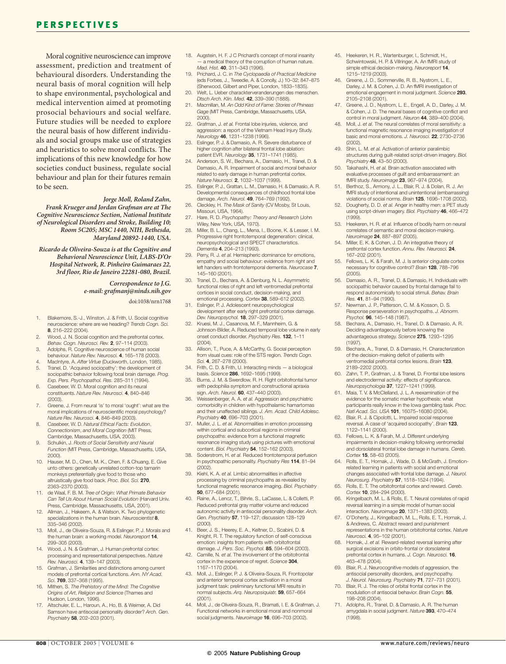Moral cognitive neuroscience can improve assessment, prediction and treatment of behavioural disorders. Understanding the neural basis of moral cognition will help to shape environmental, psychological and medical intervention aimed at promoting prosocial behaviours and social welfare. Future studies will be needed to explore the neural basis of how different individuals and social groups make use of strategies and heuristics to solve moral conflicts. The implications of this new knowledge for how societies conduct business, regulate social behaviour and plan for their futures remain to be seen.

#### *Jorge Moll, Roland Zahn,*

*Frank Krueger and Jordan Grafman are at The Cognitive Neuroscience Section, National Institute of Neurological Disorders and Stroke, Building 10; Room 5C205; MSC 1440, NIH, Bethesda, Maryland 20892-1440, USA.*

*Ricardo de Oliveira-Souza is at the Cognitive and Behavioral Neuroscience Unit, LABS-D'Or Hospital Network, R. Pinheiro Guimaraes 22, 3rd floor, Rio de Janeiro 22281-080, Brazil.*

> *Correspondence to J.G. e-mail: grafmanj@ninds.nih.gov* doi:1038/nrn1768

- Blakemore, S.-J., Winston, J. & Frith, U. Social cognitive neuroscience: where are we heading? *Trends Cogn. Sci.* **8**, 216–222 (2004).
- 2. Wood, J. N. Social cognition and the prefrontal cortex. *Behav. Cogn. Neurosci. Rev.* **2**, 97–114 (2003).
- 3. Adolphs, R. Cognitive neuroscience of human social behaviour. *Nature Rev. Neurosci.* **4**, 165–178 (2003). 4. MacIntyre, A. *After Virtue* (Duckworth, London, 1985).
- 5. Tranel, D. 'Acquired sociopathy': the development of sociopathic behavior following focal brain damage. *Prog. Exp. Pers. Psychopathol. Res.* 285–311 (1994).
- 6. Casebeer, W. D. Moral cognition and its neural constituents. *Nature Rev. Neurosci.* **4**, 840–846 (2003).
- 7. Greene, J. From neural 'is' to moral 'ought': what are the moral implications of neuroscientific moral psychology? *Nature Rev. Neurosci.* **4**, 846–849 (2003).
- 8. Casebeer, W. D. *Natural Ethical Facts: Evolution*, *Connectionism*, *and Moral Cognition* (MIT Press, Cambridge, Massachusetts, USA, 2003).
- 9. Schulkin, J. *Roots of Social Sensitivity and Neural Function* (MIT Press, Cambridge, Massachusetts, USA, 2000).
- 10. Hauser, M. D., Chen, M. K., Chen, F. & Chuang, E. Give unto others: genetically unrelated cotton-top tamarin monkeys preferentially give food to those who altruistically give food back. *Proc. Biol. Sci.* **270**, 2363–2370 (2003).
- 11. de Waal, F. B. M. *Tree of Origin: What Primate Behavior Can Tell Us About Human Social Evolution* (Harvard Univ. Press, Cambridge, Massachusetts, USA, 2001).
- 12. Allman, J., Hakeem, A. & Watson, K. Two phylogenetic specializations in the human brain. *Neuroscientist* **8**, 335–346 (2002).
- 13. Moll, J., de Oliveira-Souza, R. & Eslinger, P. J. Morals and the human brain: a working model. *Neuroreport* **14**, 299–305 (2003).
- 14. Wood, J. N. & Grafman, J. Human prefrontal cortex: processing and representational perspectives. *Nature Rev. Neurosci.* **4**, 139–147 (2003).
- 15. Grafman, J. Similarities and distinctions among current models of prefrontal cortical functions. *Ann. NY Acad. Sci.* **769**, 337–368 (1995).
- 16. Mithen, S. *The Prehistory of the Mind: The Cognitive Origins of Art*, *Religion and Science* (Thames and Hudson, London, 1996).
- 17. Altschuler, E. L., Haroun, A., Ho, B. & Weimer, A. Did Samson have antisocial personality disorder? *Arch. Gen. Psychiatry* **58**, 202–203 (2001).
- 18. Augstein, H. F. J C Prichard's concept of moral insanity a medical theory of the corruption of human nature. *Med. Hist.* **40**, 311–343 (1996).
- 19. Prichard, J. C. in *The Cyclopaedia of Practical Medicine* (eds Forbes, J., Tweedie, A. & Conolly, J.) 10–32; 847–875 (Sherwood, Gilbert and Piper, London, 1833–1835).
- Welt, L. Ueber charackterveranderungen des menschen. *Dtsch Arch. Klin. Med.* **42**, 339–390 (1888). 21. Macmillan, M. *An Odd Kind of Fame: Stories of Phineas*
- *Gage* (MIT Press, Cambridge, Massachusetts, USA, 2000).
- 22. Grafman, J. *et al.* Frontal lobe injuries, violence, and aggression: a report of the Vietnam Head Injury Study. *Neurology* **46**, 1231–1238 (1996).
- 23. Eslinger, P. J. & Damasio, A. R. Severe disturbance of higher cognition after bilateral frontal lobe ablation: patient EVR. *Neurology* **35**, 1731–1741 (1985).
- 24. Anderson, S. W., Bechara, A., Damasio, H., Tranel, D. & Damasio, A. R. Impairment of social and moral behavior related to early damage in human prefrontal cortex. *Nature Neurosci.* **2**, 1032–1037 (1999).
- 25. Eslinger, P. J., Grattan, L. M., Damasio, H. & Damasio, A. R. Developmental consequences of childhood frontal lobe damage. *Arch. Neurol.* **49**, 764–769 (1992).
- 26. Cleckley, H. *The Mask of Sanity* (CV Mosby, St Louis, Missouri, USA, 1964).
- 27. Hare, R. D. *Psychopathy: Theory and Research* (John Wiley, New York, USA, 1970).
- 28. Miller, B. L., Chang, L., Mena, I., Boone, K. & Lesser, I. M. Progressive right frontotemporal degeneration: clinical, neuropsychological and SPECT characteristics. *Dementia* **4**, 204–213 (1993).
- 29. Perry, R. J. *et al.* Hemispheric dominance for emotions empathy and social behaviour: evidence from right and left handers with frontotemporal dementia. *Neurocase* **7**, 145–160 (2001).
- 30. Tranel, D., Bechara, A. & Denburg, N. L. Asymmetric functional roles of right and left ventromedial prefrontal cortices in social conduct, decision-making, and emotional processing. *Cortex* **38**, 589–612 (2002).
- Eslinger, P. J. Adolescent neuropsychological development after early right prefrontal cortex damage. *Dev. Neuropsychol.* **18**, 297–329 (2001).
- 32. Kruesi, M. J., Casanova, M. F., Mannheim, G. & Johnson-Bilder, A. Reduced temporal lobe volume in early onset conduct disorder. *Psychiatry Res.* **132**, 1–11 (2004).
- 33. Allison, T., Puce, A. & McCarthy, G. Social perception from visual cues: role of the STS region. *Trends Cogn. Sci.* **4**, 267–278 (2000).
- 34. Frith, C. D. & Frith, U. Interacting minds a biological basis. *Science* **286**, 1692–1695 (1999).
- 35. Burns, J. M. & Swerdlow, R. H. Right orbitofrontal tumor with pedophilia symptom and constructional apraxia sign. *Arch. Neurol.* **60**, 437–440 (2003).
- 36. Weissenberger, A. A. *et al.* Aggression and psychiatric comorbidity in children with hypothalamic hamartomas and their unaffected siblings. *J. Am. Acad. Child Adolesc. Psychiatry* **40**, 696–703 (2001).
- 37. Muller, J. L. *et al.* Abnormalities in emotion processing within cortical and subcortical regions in criminal psychopaths: evidence from a functional magnetic resonance imaging study using pictures with emotional content. *Biol. Psychiatry* **54**, 152–162 (2003).
- 38. Soderstrom, H. *et al.* Reduced frontotemporal perfusion in psychopathic personality. *Psychiatry Res* **114**, 81–94 (2002).
- 39. Kiehl, K. A. *et al.* Limbic abnormalities in affective processing by criminal psychopaths as revealed by functional magnetic resonance imaging. *Biol. Psychiatry* **50**, 677–684 (2001).
- 40. Raine, A., Lencz, T., Bihrle, S., LaCasse, L. & Colletti, P. Reduced prefrontal gray matter volume and reduced autonomic activity in antisocial personality disorder. *Arch. Gen. Psychiatry* **57**, 119–127; discussion 128–129 (2000).
- 41. Beer, J. S., Heerey, E. A., Keltner, D., Scabini, D. & Knight, R. T. The regulatory function of self-conscious emotion: insights from patients with orbitofrontal damage. *J. Pers. Soc. Psychol.* **85**, 594–604 (2003).
- 42. Camille, N. *et al.* The involvement of the orbitofrontal cortex in the experience of regret. *Science* **304**, 1167–1170 (2004).
- 43. Moll, J., Eslinger, P. J. & Oliveira-Souza, R. Frontopolar and anterior temporal cortex activation in a moral judgment task: preliminary functional MRI results in normal subjects. *Arq. Neuropsiquiatr.* **59**, 657–664 (2001).
- 44. Moll, J., de Oliveira-Souza, R., Bramati, I. E. & Grafman, J. Functional networks in emotional moral and nonmoral social judgments. *Neuroimage* **16**, 696–703 (2002).
- 45. Heekeren, H. R., Wartenburger, I., Schmidt, H., Schwintowski, H. P. & Villringer, A. An fMRI study of simple ethical decision-making. *Neuroreport* **14**, 1215–1219 (2003).
- 46. Greene, J. D., Sommerville, R. B., Nystrom, L. E., Darley, J. M. & Cohen, J. D. An fMRI investigation of emotional engagement in moral judgment. *Science* **293**, 2105–2108 (2001).
- 47. Greene, J. D., Nystrom, L. E., Engell, A. D., Darley, J. M. & Cohen, J. D. The neural bases of cognitive conflict and control in moral judgment. *Neuron* **44**, 389–400 (2004).
- 48. Moll, J. *et al.* The neural correlates of moral sensitivity: a functional magnetic resonance imaging investigation of basic and moral emotions. *J. Neurosci.* **22**, 2730–2736  $(2002)$
- 49. Shin, L. M. *et al.* Activation of anterior paralimbic structures during guilt-related script-driven imagery. *Biol. Psychiatry* **48**, 43–50 (2000).
- 50. Takahashi, H. *et al.* Brain activation associated with evaluative processes of guilt and embarrassment: an fMRI study. *Neuroimage* **23**, 967–974 (2004).
- 51. Berthoz, S., Armony, J. L., Blair, R. J. & Dolan, R. J. An fMRI study of intentional and unintentional (embarrassing) violations of social norms. *Brain* **125**, 1696–1708 (2002).
- 52. Dougherty, D. D. *et al.* Anger in healthy men: a PET study using script-driven imagery. *Biol. Psychiatry* **46**, 466–472 (1999).
- 53. Heekeren, H. R. *et al.* Influence of bodily harm on neural correlates of semantic and moral decision-making. *Neuroimage* **24**, 887–897 (2005).
- 54. Miller, E. K. & Cohen, J. D. An integrative theory of prefrontal cortex function. *Annu. Rev. Neurosci.* **24**, 167–202 (2001).
- 55. Fellows, L. K. & Farah, M. J. Is anterior cingulate cortex necessary for cognitive control? *Brain* **128**, 788–796 (2005).
- 56. Damasio, A. R., Tranel, D. & Damasio, H. Individuals with sociopathic behavior caused by frontal damage fail to respond autonomically to social stimuli. *Behav. Brain Res.* **41**, 81–94 (1990).
- Newman, J. P., Patterson, C. M. & Kosson, D. S. Response perseveration in psychopaths. *J. Abnorm. Psychol.* **96**, 145–148 (1987).
- 58. Bechara, A., Damasio, H., Tranel, D. & Damasio, A. R. Deciding advantageously before knowing the advantageous strategy. *Science* **275**, 1293–1295 (1997).
- 59. Bechara, A., Tranel, D. & Damasio, H. Characterization of the decision-making deficit of patients with ventromedial prefrontal cortex lesions. *Brain* **123**, 2189–2202 (2000).
- 60. Zahn, T. P., Grafman, J. & Tranel, D. Frontal lobe lesions and electrodermal activity: effects of significance. *Neuropsychologia* **37**, 1227–1241 (1999).
- 61. Maia, T. V. & McClelland, J. L. A reexamination of the evidence for the somatic marker hypothesis: what participants really know in the Iowa gambling task. *Proc. Natl Acad. Sci. USA* **101**, 16075–16080 (2004).
- 62. Blair, R. J. & Cipolotti, L. Impaired social response reversal. A case of 'acquired sociopathy'. *Brain* **123**, 1122–1141 (2000).
- 63. Fellows, L. K. & Farah, M. J. Different underlying impairments in decision-making following ventromedial and dorsolateral frontal lobe damage in humans. *Cereb. Cortex* **15**, 58–63 (2005).
- 64. Rolls, E. T., Hornak, J., Wade, D. & McGrath, J. Emotionrelated learning in patients with social and emotional changes associated with frontal lobe damage. *J. Neurol.*
- *Neurosurg. Psychiatry* **57**, 1518–1524 (1994). 65. Rolls, E. T. The orbitofrontal cortex and reward. *Cereb. Cortex* **10**, 284–294 (2000).
- 66. Kringelbach, M. L. & Rolls, E. T. Neural correlates of rapid reversal learning in a simple model of human social interaction. *Neuroimage* **20**, 1371–1383 (2003).
- 67. O'Doherty, J., Kringelbach, M. L., Rolls, E. T., Hornak, J. & Andrews, C. Abstract reward and punishment representations in the human orbitofrontal cortex. *Nature Neurosci.* **4**, 95–102 (2001).
- 68. Hornak, J. *et al.* Reward-related reversal learning after surgical excisions in orbito-frontal or dorsolateral prefrontal cortex in humans. *J. Cogn. Neurosci.* **16**, 463–478 (2004).
- 69. Blair, R. J. Neurocognitive models of aggression, the antisocial personality disorders, and psychopathy. *J. Neurol. Neurosurg. Psychiatry* **71**, 727–731 (2001).
- 70. Blair, R. J. The roles of orbital frontal cortex in the modulation of antisocial behavior. *Brain Cogn.* **55**, 198–208 (2004).
- 71. Adolphs, R., Tranel, D. & Damasio, A. R. The human amygdala in social judgment. *Nature* **393**, 470–474 (1998).